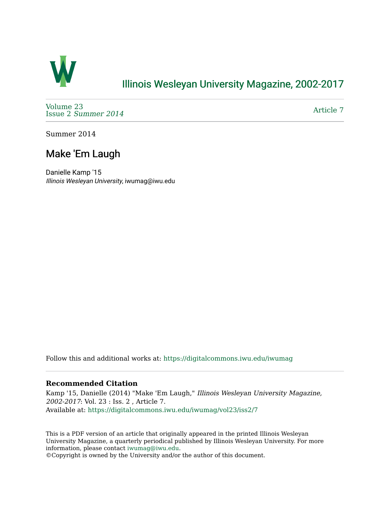

## [Illinois Wesleyan University Magazine, 2002-2017](https://digitalcommons.iwu.edu/iwumag)

[Volume 23](https://digitalcommons.iwu.edu/iwumag/vol23)  Issue 2 [Summer 2014](https://digitalcommons.iwu.edu/iwumag/vol23/iss2) 

[Article 7](https://digitalcommons.iwu.edu/iwumag/vol23/iss2/7) 

Summer 2014

## Make 'Em Laugh

Danielle Kamp '15 Illinois Wesleyan University, iwumag@iwu.edu

Follow this and additional works at: [https://digitalcommons.iwu.edu/iwumag](https://digitalcommons.iwu.edu/iwumag?utm_source=digitalcommons.iwu.edu%2Fiwumag%2Fvol23%2Fiss2%2F7&utm_medium=PDF&utm_campaign=PDFCoverPages) 

## **Recommended Citation**

Kamp '15, Danielle (2014) "Make 'Em Laugh," Illinois Wesleyan University Magazine, 2002-2017: Vol. 23 : Iss. 2 , Article 7. Available at: [https://digitalcommons.iwu.edu/iwumag/vol23/iss2/7](https://digitalcommons.iwu.edu/iwumag/vol23/iss2/7?utm_source=digitalcommons.iwu.edu%2Fiwumag%2Fvol23%2Fiss2%2F7&utm_medium=PDF&utm_campaign=PDFCoverPages)

This is a PDF version of an article that originally appeared in the printed Illinois Wesleyan University Magazine, a quarterly periodical published by Illinois Wesleyan University. For more information, please contact [iwumag@iwu.edu](mailto:iwumag@iwu.edu).

©Copyright is owned by the University and/or the author of this document.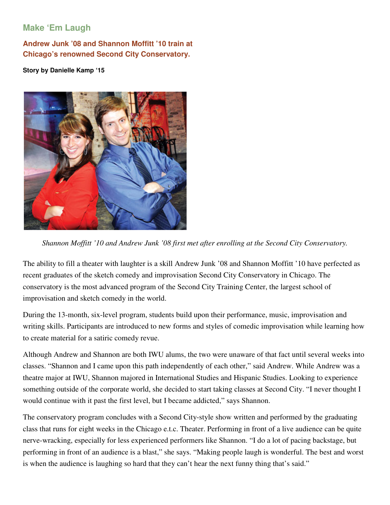## **Make 'Em Laugh**

**Andrew Junk '08 and Shannon Moffitt '10 train at Chicago's renowned Second City Conservatory.** 

**Story by Danielle Kamp '15** 



*Shannon Moffitt '10 and Andrew Junk '08 first met after enrolling at the Second City Conservatory.* 

The ability to fill a theater with laughter is a skill Andrew Junk '08 and Shannon Moffitt '10 have perfected as recent graduates of the sketch comedy and improvisation Second City Conservatory in Chicago. The conservatory is the most advanced program of the Second City Training Center, the largest school of improvisation and sketch comedy in the world.

During the 13-month, six-level program, students build upon their performance, music, improvisation and writing skills. Participants are introduced to new forms and styles of comedic improvisation while learning how to create material for a satiric comedy revue.

Although Andrew and Shannon are both IWU alums, the two were unaware of that fact until several weeks into classes. "Shannon and I came upon this path independently of each other," said Andrew. While Andrew was a theatre major at IWU, Shannon majored in International Studies and Hispanic Studies. Looking to experience something outside of the corporate world, she decided to start taking classes at Second City. "I never thought I would continue with it past the first level, but I became addicted," says Shannon.

The conservatory program concludes with a Second City-style show written and performed by the graduating class that runs for eight weeks in the Chicago e.t.c. Theater. Performing in front of a live audience can be quite nerve-wracking, especially for less experienced performers like Shannon. "I do a lot of pacing backstage, but performing in front of an audience is a blast," she says. "Making people laugh is wonderful. The best and worst is when the audience is laughing so hard that they can't hear the next funny thing that's said."